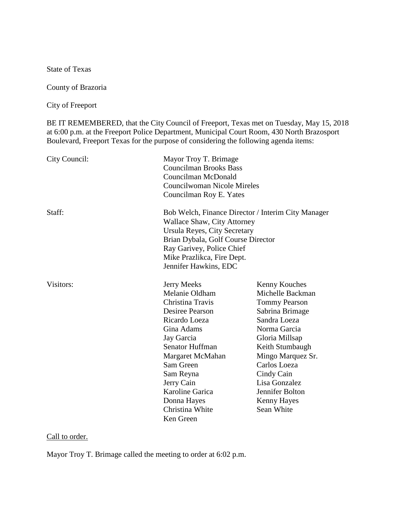State of Texas

County of Brazoria

City of Freeport

BE IT REMEMBERED, that the City Council of Freeport, Texas met on Tuesday, May 15, 2018 at 6:00 p.m. at the Freeport Police Department, Municipal Court Room, 430 North Brazosport Boulevard, Freeport Texas for the purpose of considering the following agenda items:

| City Council: | Mayor Troy T. Brimage<br><b>Councilman Brooks Bass</b><br>Councilman McDonald<br>Councilwoman Nicole Mireles                                                                                                                                                       |                                                                                                                                                                                                                                                                       |
|---------------|--------------------------------------------------------------------------------------------------------------------------------------------------------------------------------------------------------------------------------------------------------------------|-----------------------------------------------------------------------------------------------------------------------------------------------------------------------------------------------------------------------------------------------------------------------|
|               | Councilman Roy E. Yates                                                                                                                                                                                                                                            |                                                                                                                                                                                                                                                                       |
| Staff:        | Bob Welch, Finance Director / Interim City Manager<br><b>Wallace Shaw, City Attorney</b><br>Ursula Reyes, City Secretary<br>Brian Dybala, Golf Course Director<br>Ray Garivey, Police Chief<br>Mike Prazlikca, Fire Dept.<br>Jennifer Hawkins, EDC                 |                                                                                                                                                                                                                                                                       |
| Visitors:     | Jerry Meeks<br>Melanie Oldham<br>Christina Travis<br>Desiree Pearson<br>Ricardo Loeza<br>Gina Adams<br>Jay Garcia<br>Senator Huffman<br>Margaret McMahan<br>Sam Green<br>Sam Reyna<br>Jerry Cain<br>Karoline Garica<br>Donna Hayes<br>Christina White<br>Ken Green | Kenny Kouches<br>Michelle Backman<br><b>Tommy Pearson</b><br>Sabrina Brimage<br>Sandra Loeza<br>Norma Garcia<br>Gloria Millsap<br>Keith Stumbaugh<br>Mingo Marquez Sr.<br>Carlos Loeza<br>Cindy Cain<br>Lisa Gonzalez<br>Jennifer Bolton<br>Kenny Hayes<br>Sean White |

## Call to order.

Mayor Troy T. Brimage called the meeting to order at 6:02 p.m.